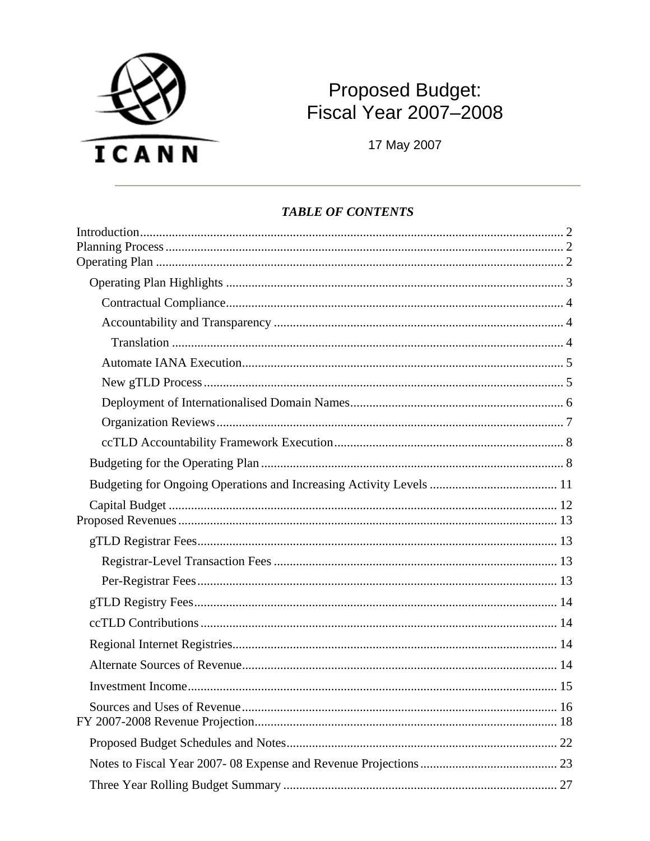

# Proposed Budget:<br>Fiscal Year 2007-2008

17 May 2007

#### **TABLE OF CONTENTS**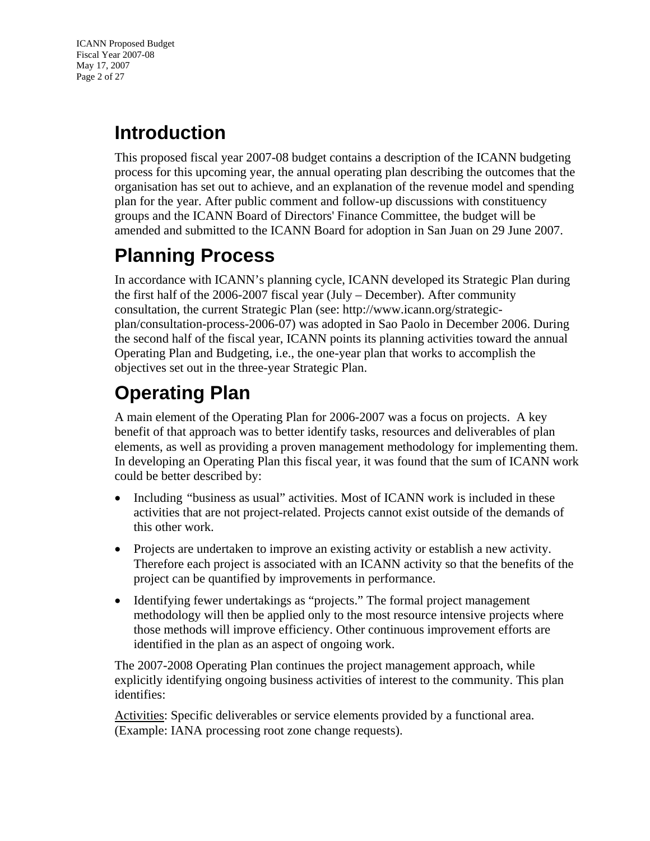<span id="page-1-0"></span>ICANN Proposed Budget Fiscal Year 2007-08 May 17, 2007 Page 2 of 27

# <span id="page-1-1"></span>**Introduction**

This proposed fiscal year 2007-08 budget contains a description of the ICANN budgeting process for this upcoming year, the annual operating plan describing the outcomes that the organisation has set out to achieve, and an explanation of the revenue model and spending plan for the year. After public comment and follow-up discussions with constituency groups and the ICANN Board of Directors' Finance Committee, the budget will be amended and submitted to the ICANN Board for adoption in San Juan on 29 June 2007.

# <span id="page-1-2"></span>**Planning Process**

In accordance with ICANN's planning cycle, ICANN developed its Strategic Plan during the first half of the 2006-2007 fiscal year (July – December). After community consultation, the current Strategic Plan (see: [http://www.icann.org/strategic](http://www.icann.org/strategic-plan/consultation-process-2006-07/)[plan/consultation-process-2006-07\)](http://www.icann.org/strategic-plan/consultation-process-2006-07/) was adopted in Sao Paolo in December 2006. During the second half of the fiscal year, ICANN points its planning activities toward the annual Operating Plan and Budgeting, i.e., the one-year plan that works to accomplish the objectives set out in the three-year Strategic Plan.

# <span id="page-1-3"></span>**Operating Plan**

A main element of the Operating Plan for 2006-2007 was a focus on projects. A key benefit of that approach was to better identify tasks, resources and deliverables of plan elements, as well as providing a proven management methodology for implementing them. In developing an Operating Plan this fiscal year, it was found that the sum of ICANN work could be better described by:

- Including "business as usual" activities. Most of ICANN work is included in these activities that are not project-related. Projects cannot exist outside of the demands of this other work.
- Projects are undertaken to improve an existing activity or establish a new activity. Therefore each project is associated with an ICANN activity so that the benefits of the project can be quantified by improvements in performance.
- Identifying fewer undertakings as "projects." The formal project management methodology will then be applied only to the most resource intensive projects where those methods will improve efficiency. Other continuous improvement efforts are identified in the plan as an aspect of ongoing work.

The 2007-2008 Operating Plan continues the project management approach, while explicitly identifying ongoing business activities of interest to the community. This plan identifies:

Activities: Specific deliverables or service elements provided by a functional area. (Example: IANA processing root zone change requests).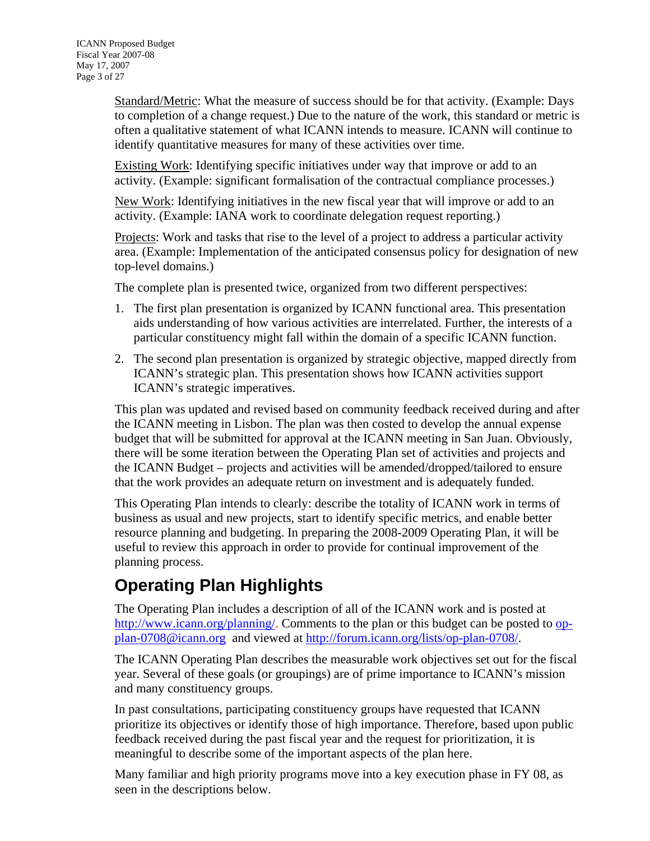<span id="page-2-0"></span>Standard/Metric: What the measure of success should be for that activity. (Example: Days to completion of a change request.) Due to the nature of the work, this standard or metric is often a qualitative statement of what ICANN intends to measure. ICANN will continue to identify quantitative measures for many of these activities over time.

Existing Work: Identifying specific initiatives under way that improve or add to an activity. (Example: significant formalisation of the contractual compliance processes.)

New Work: Identifying initiatives in the new fiscal year that will improve or add to an activity. (Example: IANA work to coordinate delegation request reporting.)

Projects: Work and tasks that rise to the level of a project to address a particular activity area. (Example: Implementation of the anticipated consensus policy for designation of new top-level domains.)

The complete plan is presented twice, organized from two different perspectives:

- 1. The first plan presentation is organized by ICANN functional area. This presentation aids understanding of how various activities are interrelated. Further, the interests of a particular constituency might fall within the domain of a specific ICANN function.
- 2. The second plan presentation is organized by strategic objective, mapped directly from ICANN's strategic plan. This presentation shows how ICANN activities support ICANN's strategic imperatives.

This plan was updated and revised based on community feedback received during and after the ICANN meeting in Lisbon. The plan was then costed to develop the annual expense budget that will be submitted for approval at the ICANN meeting in San Juan. Obviously, there will be some iteration between the Operating Plan set of activities and projects and the ICANN Budget – projects and activities will be amended/dropped/tailored to ensure that the work provides an adequate return on investment and is adequately funded.

This Operating Plan intends to clearly: describe the totality of ICANN work in terms of business as usual and new projects, start to identify specific metrics, and enable better resource planning and budgeting. In preparing the 2008-2009 Operating Plan, it will be useful to review this approach in order to provide for continual improvement of the planning process.

# <span id="page-2-1"></span>**Operating Plan Highlights**

The Operating Plan includes a description of all of the ICANN work and is posted at <http://www.icann.org/planning/>. Comments to the plan or this budget can be posted to [op](mailto:op-plan-0708@icann.org)[plan-0708@icann.org](mailto:op-plan-0708@icann.org) and viewed at<http://forum.icann.org/lists/op-plan-0708/>.

The ICANN Operating Plan describes the measurable work objectives set out for the fiscal year. Several of these goals (or groupings) are of prime importance to ICANN's mission and many constituency groups.

In past consultations, participating constituency groups have requested that ICANN prioritize its objectives or identify those of high importance. Therefore, based upon public feedback received during the past fiscal year and the request for prioritization, it is meaningful to describe some of the important aspects of the plan here.

Many familiar and high priority programs move into a key execution phase in FY 08, as seen in the descriptions below.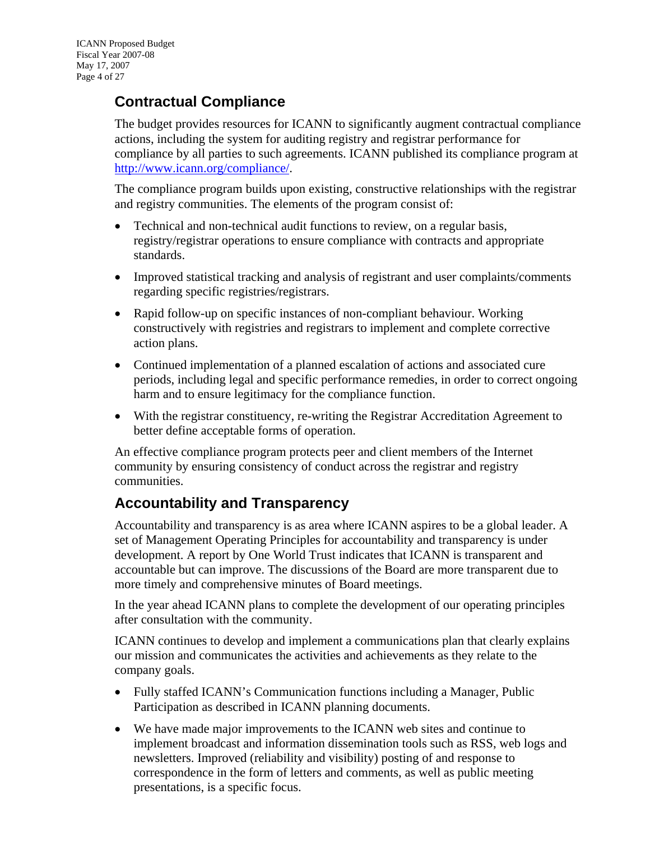#### <span id="page-3-1"></span><span id="page-3-0"></span>**Contractual Compliance**

The budget provides resources for ICANN to significantly augment contractual compliance actions, including the system for auditing registry and registrar performance for compliance by all parties to such agreements. ICANN published its compliance program at [http://www.icann.org/compliance/.](http://www.icann.org/compliance/)

The compliance program builds upon existing, constructive relationships with the registrar and registry communities. The elements of the program consist of:

- Technical and non-technical audit functions to review, on a regular basis, registry/registrar operations to ensure compliance with contracts and appropriate standards.
- Improved statistical tracking and analysis of registrant and user complaints/comments regarding specific registries/registrars.
- Rapid follow-up on specific instances of non-compliant behaviour. Working constructively with registries and registrars to implement and complete corrective action plans.
- Continued implementation of a planned escalation of actions and associated cure periods, including legal and specific performance remedies, in order to correct ongoing harm and to ensure legitimacy for the compliance function.
- With the registrar constituency, re-writing the Registrar Accreditation Agreement to better define acceptable forms of operation.

An effective compliance program protects peer and client members of the Internet community by ensuring consistency of conduct across the registrar and registry communities.

#### <span id="page-3-2"></span>**Accountability and Transparency**

Accountability and transparency is as area where ICANN aspires to be a global leader. A set of Management Operating Principles for accountability and transparency is under development. A report by One World Trust indicates that ICANN is transparent and accountable but can improve. The discussions of the Board are more transparent due to more timely and comprehensive minutes of Board meetings.

In the year ahead ICANN plans to complete the development of our operating principles after consultation with the community.

ICANN continues to develop and implement a communications plan that clearly explains our mission and communicates the activities and achievements as they relate to the company goals.

- Fully staffed ICANN's Communication functions including a Manager, Public Participation as described in ICANN planning documents.
- We have made major improvements to the ICANN web sites and continue to implement broadcast and information dissemination tools such as RSS, web logs and newsletters. Improved (reliability and visibility) posting of and response to correspondence in the form of letters and comments, as well as public meeting presentations, is a specific focus.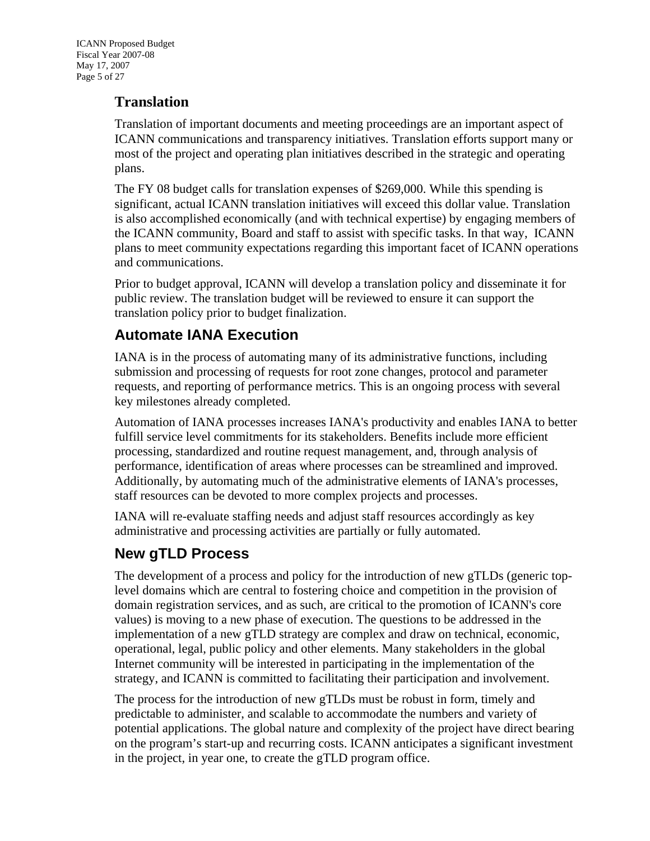#### <span id="page-4-0"></span>**Translation**

Translation of important documents and meeting proceedings are an important aspect of ICANN communications and transparency initiatives. Translation efforts support many or most of the project and operating plan initiatives described in the strategic and operating plans.

The FY 08 budget calls for translation expenses of \$269,000. While this spending is significant, actual ICANN translation initiatives will exceed this dollar value. Translation is also accomplished economically (and with technical expertise) by engaging members of the ICANN community, Board and staff to assist with specific tasks. In that way, ICANN plans to meet community expectations regarding this important facet of ICANN operations and communications.

Prior to budget approval, ICANN will develop a translation policy and disseminate it for public review. The translation budget will be reviewed to ensure it can support the translation policy prior to budget finalization.

#### <span id="page-4-1"></span>**Automate IANA Execution**

IANA is in the process of automating many of its administrative functions, including submission and processing of requests for root zone changes, protocol and parameter requests, and reporting of performance metrics. This is an ongoing process with several key milestones already completed.

Automation of IANA processes increases IANA's productivity and enables IANA to better fulfill service level commitments for its stakeholders. Benefits include more efficient processing, standardized and routine request management, and, through analysis of performance, identification of areas where processes can be streamlined and improved. Additionally, by automating much of the administrative elements of IANA's processes, staff resources can be devoted to more complex projects and processes.

IANA will re-evaluate staffing needs and adjust staff resources accordingly as key administrative and processing activities are partially or fully automated.

#### <span id="page-4-2"></span>**New gTLD Process**

The development of a process and policy for the introduction of new gTLDs (generic toplevel domains which are central to fostering choice and competition in the provision of domain registration services, and as such, are critical to the promotion of ICANN's core values) is moving to a new phase of execution. The questions to be addressed in the implementation of a new gTLD strategy are complex and draw on technical, economic, operational, legal, public policy and other elements. Many stakeholders in the global Internet community will be interested in participating in the implementation of the strategy, and ICANN is committed to facilitating their participation and involvement.

The process for the introduction of new gTLDs must be robust in form, timely and predictable to administer, and scalable to accommodate the numbers and variety of potential applications. The global nature and complexity of the project have direct bearing on the program's start-up and recurring costs. ICANN anticipates a significant investment in the project, in year one, to create the gTLD program office.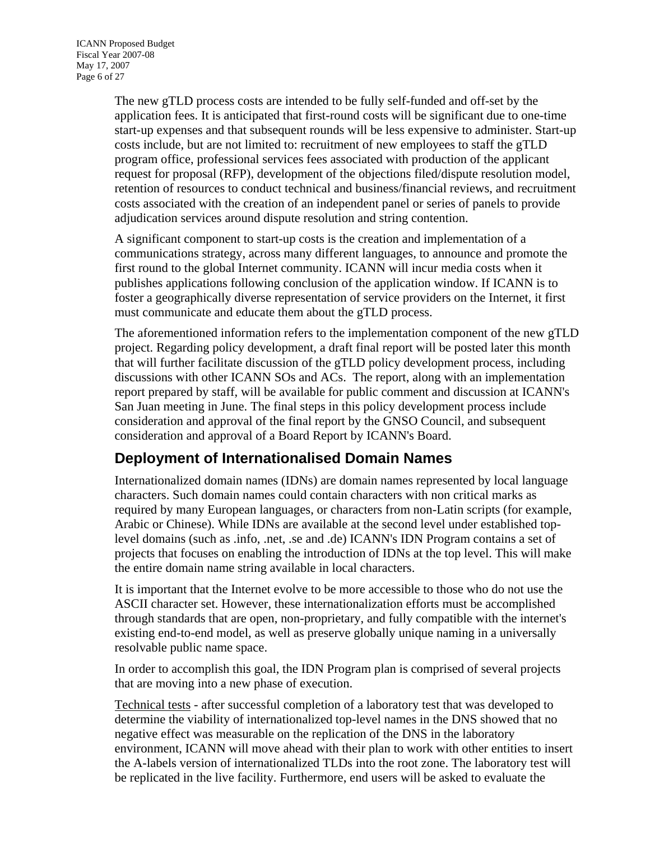<span id="page-5-0"></span>The new gTLD process costs are intended to be fully self-funded and off-set by the application fees. It is anticipated that first-round costs will be significant due to one-time start-up expenses and that subsequent rounds will be less expensive to administer. Start-up costs include, but are not limited to: recruitment of new employees to staff the gTLD program office, professional services fees associated with production of the applicant request for proposal (RFP), development of the objections filed/dispute resolution model, retention of resources to conduct technical and business/financial reviews, and recruitment costs associated with the creation of an independent panel or series of panels to provide adjudication services around dispute resolution and string contention.

A significant component to start-up costs is the creation and implementation of a communications strategy, across many different languages, to announce and promote the first round to the global Internet community. ICANN will incur media costs when it publishes applications following conclusion of the application window. If ICANN is to foster a geographically diverse representation of service providers on the Internet, it first must communicate and educate them about the gTLD process.

The aforementioned information refers to the implementation component of the new gTLD project. Regarding policy development, a draft final report will be posted later this month that will further facilitate discussion of the gTLD policy development process, including discussions with other ICANN SOs and ACs. The report, along with an implementation report prepared by staff, will be available for public comment and discussion at ICANN's San Juan meeting in June. The final steps in this policy development process include consideration and approval of the final report by the GNSO Council, and subsequent consideration and approval of a Board Report by ICANN's Board.

#### <span id="page-5-1"></span>**Deployment of Internationalised Domain Names**

Internationalized domain names (IDNs) are domain names represented by local language characters. Such domain names could contain characters with non critical marks as required by many European languages, or characters from non-Latin scripts (for example, Arabic or Chinese). While IDNs are available at the second level under established toplevel domains (such as .info, .net, .se and .de) ICANN's IDN Program contains a set of projects that focuses on enabling the introduction of IDNs at the top level. This will make the entire domain name string available in local characters.

It is important that the Internet evolve to be more accessible to those who do not use the ASCII character set. However, these internationalization efforts must be accomplished through standards that are open, non-proprietary, and fully compatible with the internet's existing end-to-end model, as well as preserve globally unique naming in a universally resolvable public name space.

In order to accomplish this goal, the IDN Program plan is comprised of several projects that are moving into a new phase of execution.

Technical tests - after successful completion of a laboratory test that was developed to determine the viability of internationalized top-level names in the DNS showed that no negative effect was measurable on the replication of the DNS in the laboratory environment, ICANN will move ahead with their plan to work with other entities to insert the A-labels version of internationalized TLDs into the root zone. The laboratory test will be replicated in the live facility. Furthermore, end users will be asked to evaluate the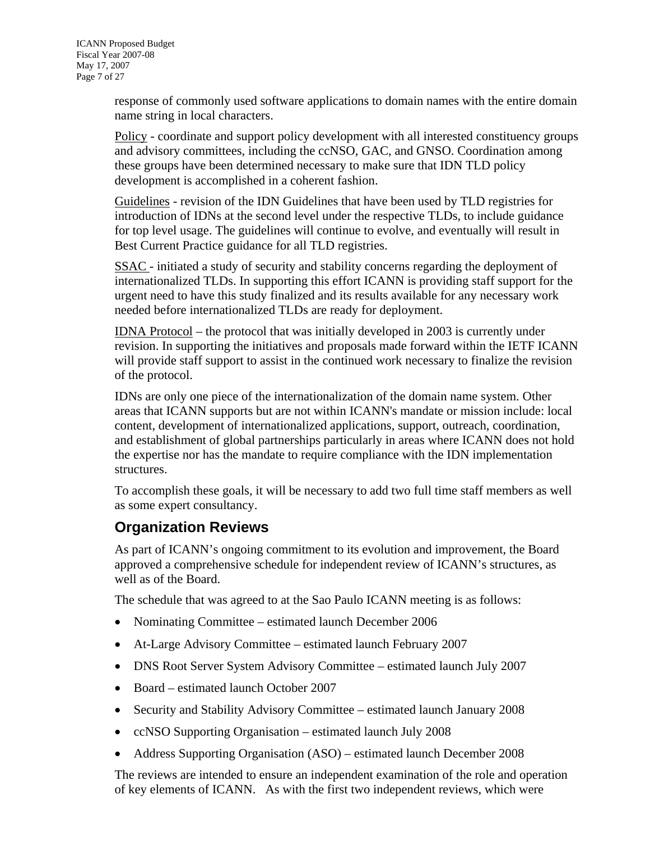<span id="page-6-0"></span>response of commonly used software applications to domain names with the entire domain name string in local characters.

Policy - coordinate and support policy development with all interested constituency groups and advisory committees, including the ccNSO, GAC, and GNSO. Coordination among these groups have been determined necessary to make sure that IDN TLD policy development is accomplished in a coherent fashion.

Guidelines - revision of the IDN Guidelines that have been used by TLD registries for introduction of IDNs at the second level under the respective TLDs, to include guidance for top level usage. The guidelines will continue to evolve, and eventually will result in Best Current Practice guidance for all TLD registries.

SSAC - initiated a study of security and stability concerns regarding the deployment of internationalized TLDs. In supporting this effort ICANN is providing staff support for the urgent need to have this study finalized and its results available for any necessary work needed before internationalized TLDs are ready for deployment.

IDNA Protocol – the protocol that was initially developed in 2003 is currently under revision. In supporting the initiatives and proposals made forward within the IETF ICANN will provide staff support to assist in the continued work necessary to finalize the revision of the protocol.

IDNs are only one piece of the internationalization of the domain name system. Other areas that ICANN supports but are not within ICANN's mandate or mission include: local content, development of internationalized applications, support, outreach, coordination, and establishment of global partnerships particularly in areas where ICANN does not hold the expertise nor has the mandate to require compliance with the IDN implementation structures.

To accomplish these goals, it will be necessary to add two full time staff members as well as some expert consultancy.

#### <span id="page-6-1"></span>**Organization Reviews**

As part of ICANN's ongoing commitment to its evolution and improvement, the Board approved a comprehensive schedule for independent review of ICANN's structures, as well as of the Board.

The schedule that was agreed to at the Sao Paulo ICANN meeting is as follows:

- Nominating Committee estimated launch December 2006
- At-Large Advisory Committee estimated launch February 2007
- DNS Root Server System Advisory Committee estimated launch July 2007
- Board estimated launch October 2007
- Security and Stability Advisory Committee estimated launch January 2008
- ccNSO Supporting Organisation estimated launch July 2008
- Address Supporting Organisation (ASO) estimated launch December 2008

The reviews are intended to ensure an independent examination of the role and operation of key elements of ICANN. As with the first two independent reviews, which were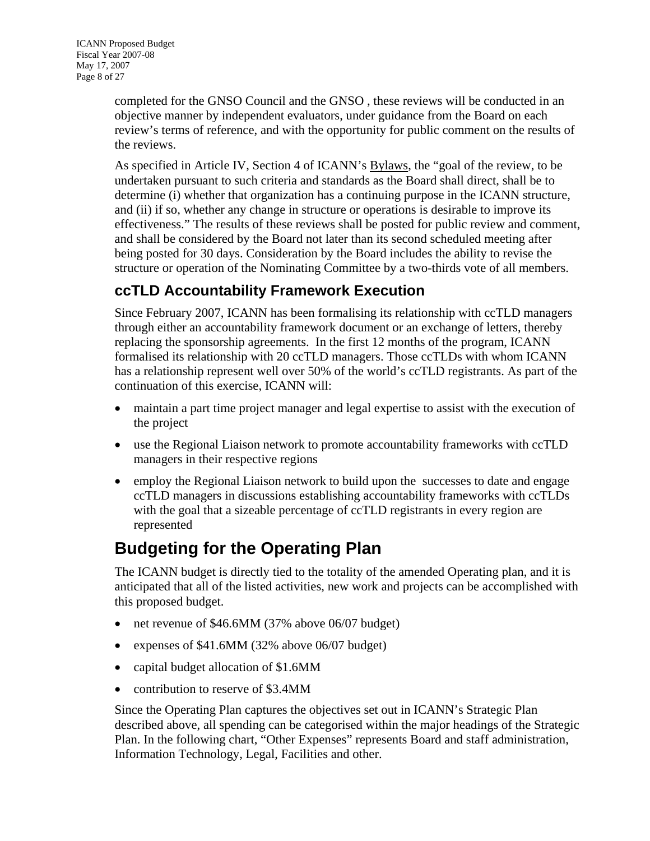<span id="page-7-0"></span>completed for the GNSO Council and the GNSO , these reviews will be conducted in an objective manner by independent evaluators, under guidance from the Board on each review's terms of reference, and with the opportunity for public comment on the results of the reviews.

As specified in Article IV, Section 4 of ICANN's [Bylaws,](http://icann.org/general/bylaws.htm) the "goal of the review, to be undertaken pursuant to such criteria and standards as the Board shall direct, shall be to determine (i) whether that organization has a continuing purpose in the ICANN structure, and (ii) if so, whether any change in structure or operations is desirable to improve its effectiveness." The results of these reviews shall be posted for public review and comment, and shall be considered by the Board not later than its second scheduled meeting after being posted for 30 days. Consideration by the Board includes the ability to revise the structure or operation of the Nominating Committee by a two-thirds vote of all members.

#### <span id="page-7-1"></span>**ccTLD Accountability Framework Execution**

Since February 2007, ICANN has been formalising its relationship with ccTLD managers through either an accountability framework document or an exchange of letters, thereby replacing the sponsorship agreements. In the first 12 months of the program, ICANN formalised its relationship with 20 ccTLD managers. Those ccTLDs with whom ICANN has a relationship represent well over 50% of the world's ccTLD registrants. As part of the continuation of this exercise, ICANN will:

- maintain a part time project manager and legal expertise to assist with the execution of the project
- use the Regional Liaison network to promote accountability frameworks with ccTLD managers in their respective regions
- employ the Regional Liaison network to build upon the successes to date and engage ccTLD managers in discussions establishing accountability frameworks with ccTLDs with the goal that a sizeable percentage of ccTLD registrants in every region are represented

## <span id="page-7-2"></span>**Budgeting for the Operating Plan**

The ICANN budget is directly tied to the totality of the amended Operating plan, and it is anticipated that all of the listed activities, new work and projects can be accomplished with this proposed budget.

- net revenue of \$46.6MM (37% above 06/07 budget)
- expenses of \$41.6MM (32% above 06/07 budget)
- capital budget allocation of \$1.6MM
- contribution to reserve of \$3.4MM

Since the Operating Plan captures the objectives set out in ICANN's Strategic Plan described above, all spending can be categorised within the major headings of the Strategic Plan. In the following chart, "Other Expenses" represents Board and staff administration, Information Technology, Legal, Facilities and other.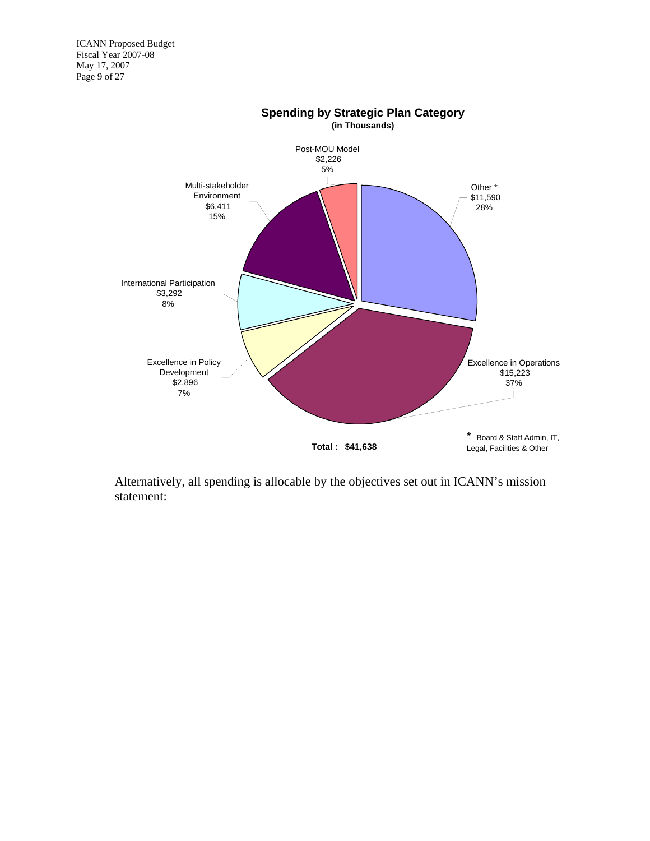ICANN Proposed Budget Fiscal Year 2007-08 May 17, 2007 Page 9 of 27



Alternatively, all spending is allocable by the objectives set out in ICANN's mission statement: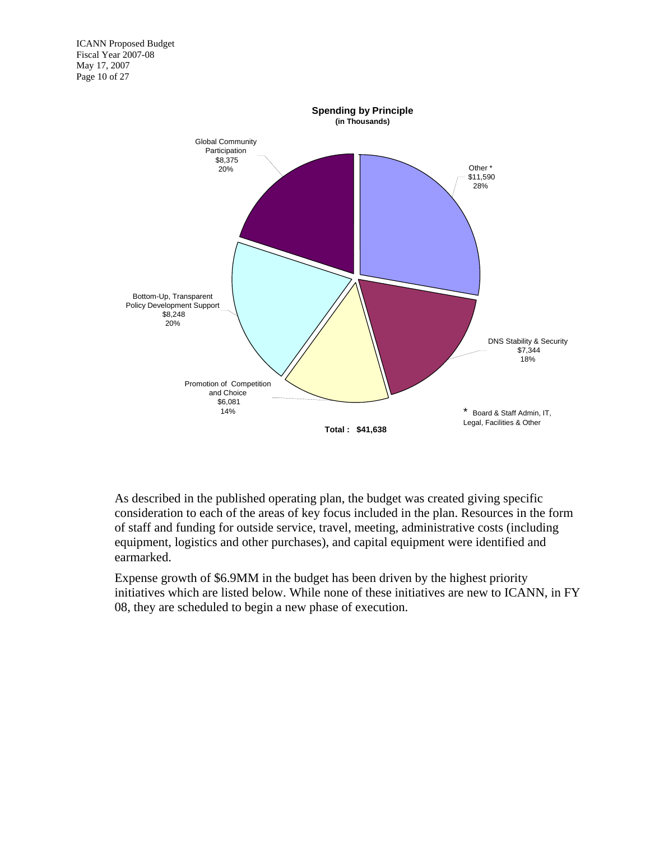

As described in the published operating plan, the budget was created giving specific consideration to each of the areas of key focus included in the plan. Resources in the form of staff and funding for outside service, travel, meeting, administrative costs (including equipment, logistics and other purchases), and capital equipment were identified and earmarked.

Expense growth of \$6.9MM in the budget has been driven by the highest priority initiatives which are listed below. While none of these initiatives are new to ICANN, in FY 08, they are scheduled to begin a new phase of execution.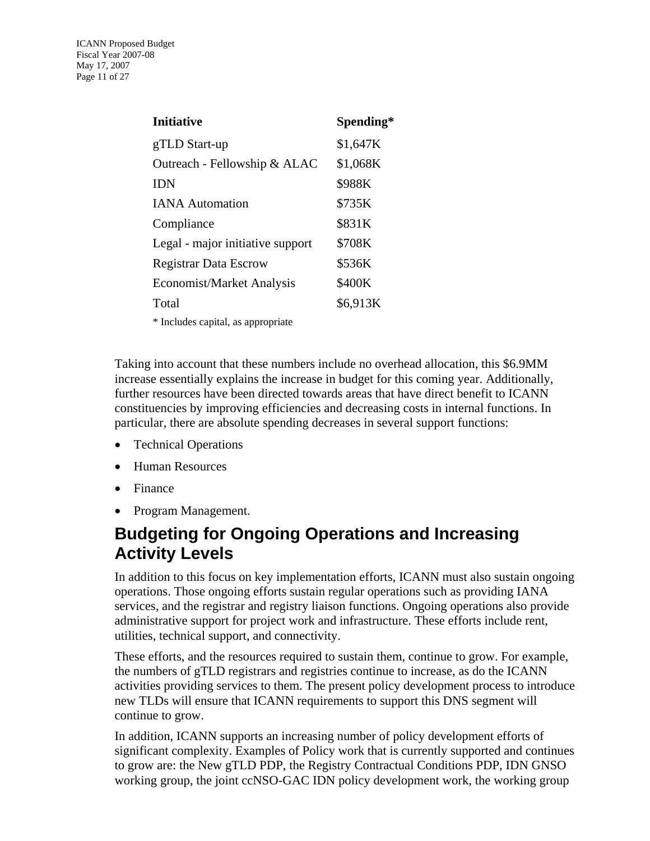<span id="page-10-0"></span>

| <b>Initiative</b>                  | Spending* |
|------------------------------------|-----------|
| gTLD Start-up                      | \$1,647K  |
| Outreach - Fellowship & ALAC       | \$1,068K  |
| <b>IDN</b>                         | \$988K    |
| <b>IANA</b> Automation             | \$735K    |
| Compliance                         | \$831K    |
| Legal - major initiative support   | \$708K    |
| <b>Registrar Data Escrow</b>       | \$536K    |
| Economist/Market Analysis          | \$400K    |
| Total                              | \$6,913K  |
| * Includes capital, as appropriate |           |

Taking into account that these numbers include no overhead allocation, this \$6.9MM increase essentially explains the increase in budget for this coming year. Additionally, further resources have been directed towards areas that have direct benefit to ICANN constituencies by improving efficiencies and decreasing costs in internal functions. In particular, there are absolute spending decreases in several support functions:

- Technical Operations
- Human Resources
- Finance
- Program Management.

## <span id="page-10-1"></span>**Budgeting for Ongoing Operations and Increasing Activity Levels**

In addition to this focus on key implementation efforts, ICANN must also sustain ongoing operations. Those ongoing efforts sustain regular operations such as providing IANA services, and the registrar and registry liaison functions. Ongoing operations also provide administrative support for project work and infrastructure. These efforts include rent, utilities, technical support, and connectivity.

These efforts, and the resources required to sustain them, continue to grow. For example, the numbers of gTLD registrars and registries continue to increase, as do the ICANN activities providing services to them. The present policy development process to introduce new TLDs will ensure that ICANN requirements to support this DNS segment will continue to grow.

In addition, ICANN supports an increasing number of policy development efforts of significant complexity. Examples of Policy work that is currently supported and continues to grow are: the New gTLD PDP, the Registry Contractual Conditions PDP, IDN GNSO working group, the joint ccNSO-GAC IDN policy development work, the working group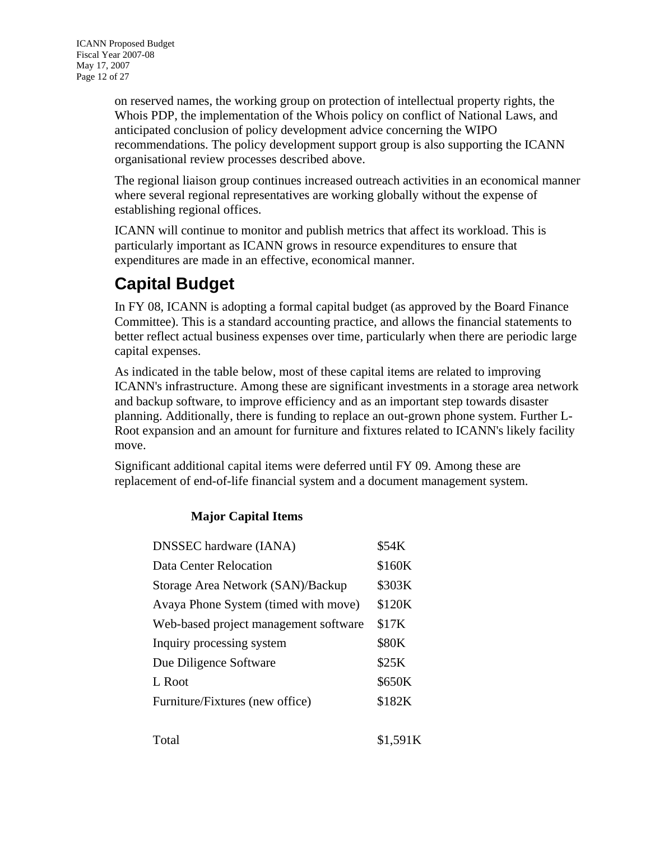<span id="page-11-0"></span>on reserved names, the working group on protection of intellectual property rights, the Whois PDP, the implementation of the Whois policy on conflict of National Laws, and anticipated conclusion of policy development advice concerning the WIPO recommendations. The policy development support group is also supporting the ICANN organisational review processes described above.

The regional liaison group continues increased outreach activities in an economical manner where several regional representatives are working globally without the expense of establishing regional offices.

ICANN will continue to monitor and publish metrics that affect its workload. This is particularly important as ICANN grows in resource expenditures to ensure that expenditures are made in an effective, economical manner.

# <span id="page-11-1"></span>**Capital Budget**

In FY 08, ICANN is adopting a formal capital budget (as approved by the Board Finance Committee). This is a standard accounting practice, and allows the financial statements to better reflect actual business expenses over time, particularly when there are periodic large capital expenses.

As indicated in the table below, most of these capital items are related to improving ICANN's infrastructure. Among these are significant investments in a storage area network and backup software, to improve efficiency and as an important step towards disaster planning. Additionally, there is funding to replace an out-grown phone system. Further L-Root expansion and an amount for furniture and fixtures related to ICANN's likely facility move.

Significant additional capital items were deferred until FY 09. Among these are replacement of end-of-life financial system and a document management system.

#### **Major Capital Items**

| <b>DNSSEC</b> hardware (IANA)         | \$54K  |
|---------------------------------------|--------|
| <b>Data Center Relocation</b>         | \$160K |
| Storage Area Network (SAN)/Backup     | \$303K |
| Avaya Phone System (timed with move)  | \$120K |
| Web-based project management software | \$17K  |
| Inquiry processing system             | \$80K  |
| Due Diligence Software                | \$25K  |
| L Root                                | \$650K |
| Furniture/Fixtures (new office)       | \$182K |
|                                       |        |

 $Total$   $$1,591K$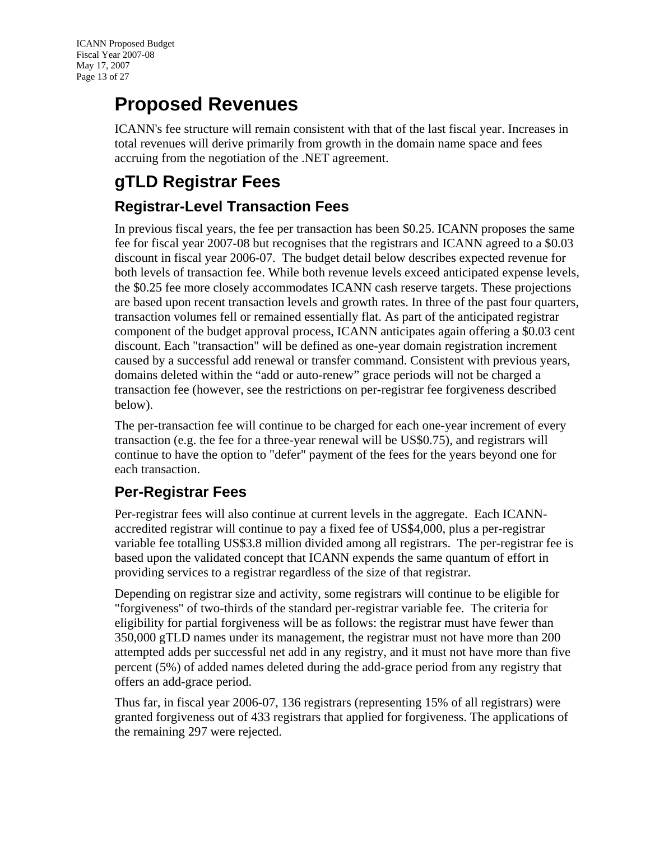# <span id="page-12-1"></span><span id="page-12-0"></span>**Proposed Revenues**

ICANN's fee structure will remain consistent with that of the last fiscal year. Increases in total revenues will derive primarily from growth in the domain name space and fees accruing from the negotiation of the .NET agreement.

# <span id="page-12-2"></span>**gTLD Registrar Fees**

#### <span id="page-12-3"></span>**Registrar-Level Transaction Fees**

In previous fiscal years, the fee per transaction has been \$0.25. ICANN proposes the same fee for fiscal year 2007-08 but recognises that the registrars and ICANN agreed to a \$0.03 discount in fiscal year 2006-07. The budget detail below describes expected revenue for both levels of transaction fee. While both revenue levels exceed anticipated expense levels, the \$0.25 fee more closely accommodates ICANN cash reserve targets. These projections are based upon recent transaction levels and growth rates. In three of the past four quarters, transaction volumes fell or remained essentially flat. As part of the anticipated registrar component of the budget approval process, ICANN anticipates again offering a \$0.03 cent discount. Each "transaction" will be defined as one-year domain registration increment caused by a successful add renewal or transfer command. Consistent with previous years, domains deleted within the "add or auto-renew" grace periods will not be charged a transaction fee (however, see the restrictions on per-registrar fee forgiveness described below).

The per-transaction fee will continue to be charged for each one-year increment of every transaction (e.g. the fee for a three-year renewal will be US\$0.75), and registrars will continue to have the option to "defer" payment of the fees for the years beyond one for each transaction.

#### <span id="page-12-4"></span>**Per-Registrar Fees**

Per-registrar fees will also continue at current levels in the aggregate. Each ICANNaccredited registrar will continue to pay a fixed fee of US\$4,000, plus a per-registrar variable fee totalling US\$3.8 million divided among all registrars. The per-registrar fee is based upon the validated concept that ICANN expends the same quantum of effort in providing services to a registrar regardless of the size of that registrar.

Depending on registrar size and activity, some registrars will continue to be eligible for "forgiveness" of two-thirds of the standard per-registrar variable fee. The criteria for eligibility for partial forgiveness will be as follows: the registrar must have fewer than 350,000 gTLD names under its management, the registrar must not have more than 200 attempted adds per successful net add in any registry, and it must not have more than five percent (5%) of added names deleted during the add-grace period from any registry that offers an add-grace period.

Thus far, in fiscal year 2006-07, 136 registrars (representing 15% of all registrars) were granted forgiveness out of 433 registrars that applied for forgiveness. The applications of the remaining 297 were rejected.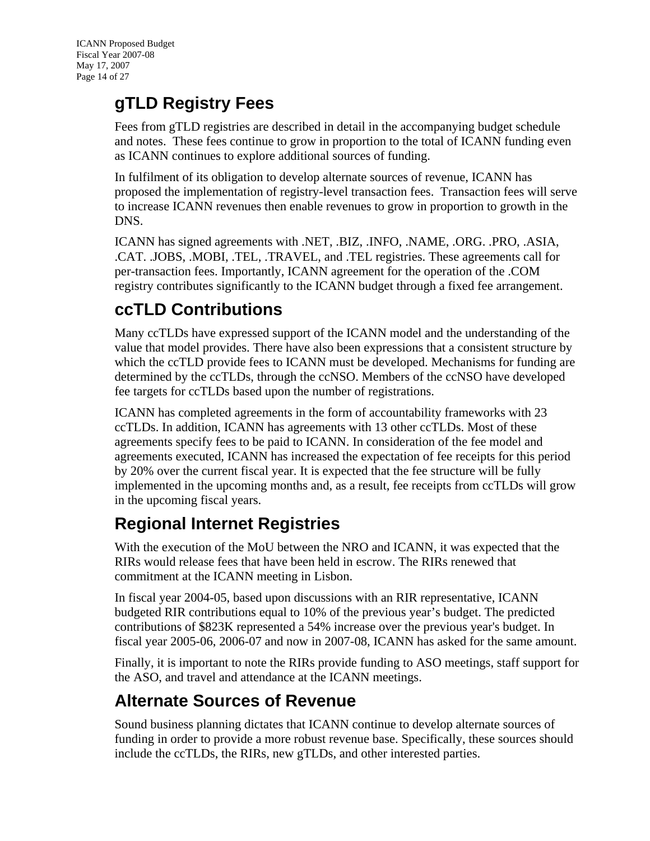# <span id="page-13-1"></span><span id="page-13-0"></span>**gTLD Registry Fees**

Fees from gTLD registries are described in detail in the accompanying budget schedule and notes. These fees continue to grow in proportion to the total of ICANN funding even as ICANN continues to explore additional sources of funding.

In fulfilment of its obligation to develop alternate sources of revenue, ICANN has proposed the implementation of registry-level transaction fees. Transaction fees will serve to increase ICANN revenues then enable revenues to grow in proportion to growth in the DNS.

ICANN has signed agreements with .NET, .BIZ, .INFO, .NAME, .ORG. .PRO, .ASIA, .CAT. .JOBS, .MOBI, .TEL, .TRAVEL, and .TEL registries. These agreements call for per-transaction fees. Importantly, ICANN agreement for the operation of the .COM registry contributes significantly to the ICANN budget through a fixed fee arrangement.

## <span id="page-13-2"></span>**ccTLD Contributions**

Many ccTLDs have expressed support of the ICANN model and the understanding of the value that model provides. There have also been expressions that a consistent structure by which the ccTLD provide fees to ICANN must be developed. Mechanisms for funding are determined by the ccTLDs, through the ccNSO. Members of the ccNSO have developed fee targets for ccTLDs based upon the number of registrations.

ICANN has completed agreements in the form of accountability frameworks with 23 ccTLDs. In addition, ICANN has agreements with 13 other ccTLDs. Most of these agreements specify fees to be paid to ICANN. In consideration of the fee model and agreements executed, ICANN has increased the expectation of fee receipts for this period by 20% over the current fiscal year. It is expected that the fee structure will be fully implemented in the upcoming months and, as a result, fee receipts from ccTLDs will grow in the upcoming fiscal years.

# <span id="page-13-3"></span>**Regional Internet Registries**

With the execution of the MoU between the NRO and ICANN, it was expected that the RIRs would release fees that have been held in escrow. The RIRs renewed that commitment at the ICANN meeting in Lisbon.

In fiscal year 2004-05, based upon discussions with an RIR representative, ICANN budgeted RIR contributions equal to 10% of the previous year's budget. The predicted contributions of \$823K represented a 54% increase over the previous year's budget. In fiscal year 2005-06, 2006-07 and now in 2007-08, ICANN has asked for the same amount.

Finally, it is important to note the RIRs provide funding to ASO meetings, staff support for the ASO, and travel and attendance at the ICANN meetings.

## <span id="page-13-4"></span>**Alternate Sources of Revenue**

Sound business planning dictates that ICANN continue to develop alternate sources of funding in order to provide a more robust revenue base. Specifically, these sources should include the ccTLDs, the RIRs, new gTLDs, and other interested parties.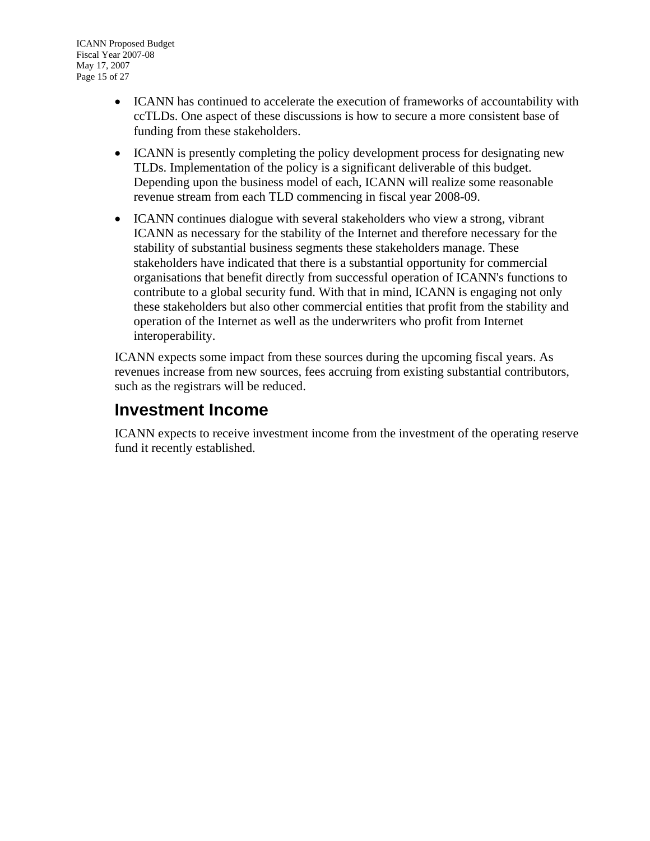- <span id="page-14-0"></span>• ICANN has continued to accelerate the execution of frameworks of accountability with ccTLDs. One aspect of these discussions is how to secure a more consistent base of funding from these stakeholders.
- ICANN is presently completing the policy development process for designating new TLDs. Implementation of the policy is a significant deliverable of this budget. Depending upon the business model of each, ICANN will realize some reasonable revenue stream from each TLD commencing in fiscal year 2008-09.
- ICANN continues dialogue with several stakeholders who view a strong, vibrant ICANN as necessary for the stability of the Internet and therefore necessary for the stability of substantial business segments these stakeholders manage. These stakeholders have indicated that there is a substantial opportunity for commercial organisations that benefit directly from successful operation of ICANN's functions to contribute to a global security fund. With that in mind, ICANN is engaging not only these stakeholders but also other commercial entities that profit from the stability and operation of the Internet as well as the underwriters who profit from Internet interoperability.

ICANN expects some impact from these sources during the upcoming fiscal years. As revenues increase from new sources, fees accruing from existing substantial contributors, such as the registrars will be reduced.

### <span id="page-14-1"></span>**Investment Income**

ICANN expects to receive investment income from the investment of the operating reserve fund it recently established.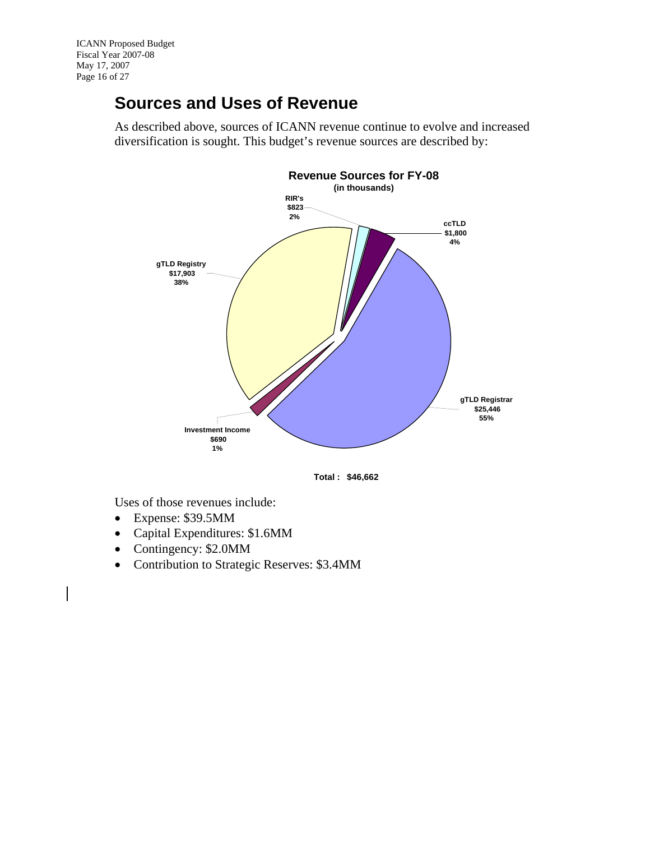## <span id="page-15-0"></span>**Sources and Uses of Revenue**

As described above, sources of ICANN revenue continue to evolve and increased diversification is sought. This budget's revenue sources are described by:





<span id="page-15-1"></span>Uses of those revenues include:

- Expense: \$39.5MM
- Capital Expenditures: \$1.6MM
- Contingency: \$2.0MM
- Contribution to Strategic Reserves: \$3.4MM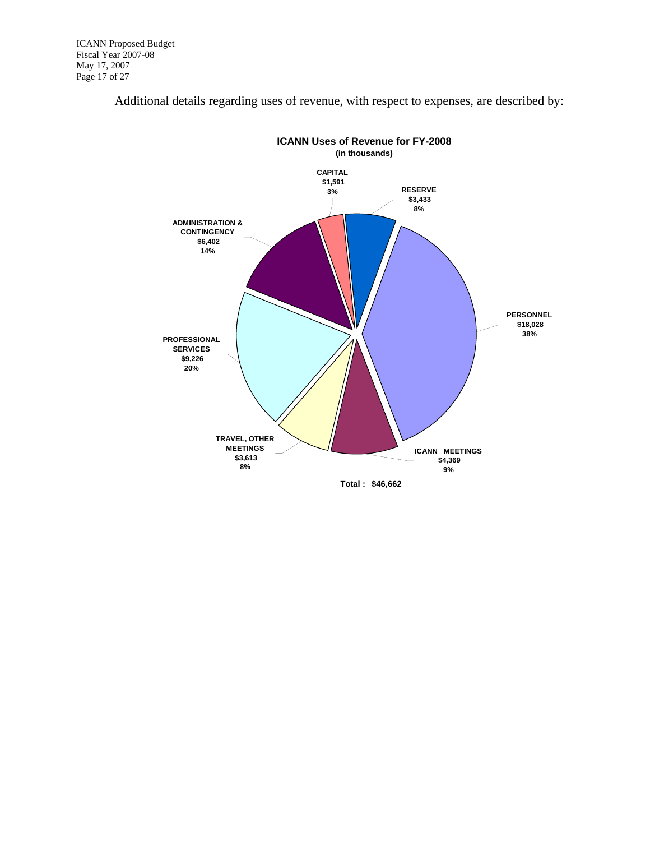

Additional details regarding uses of revenue, with respect to expenses, are described by: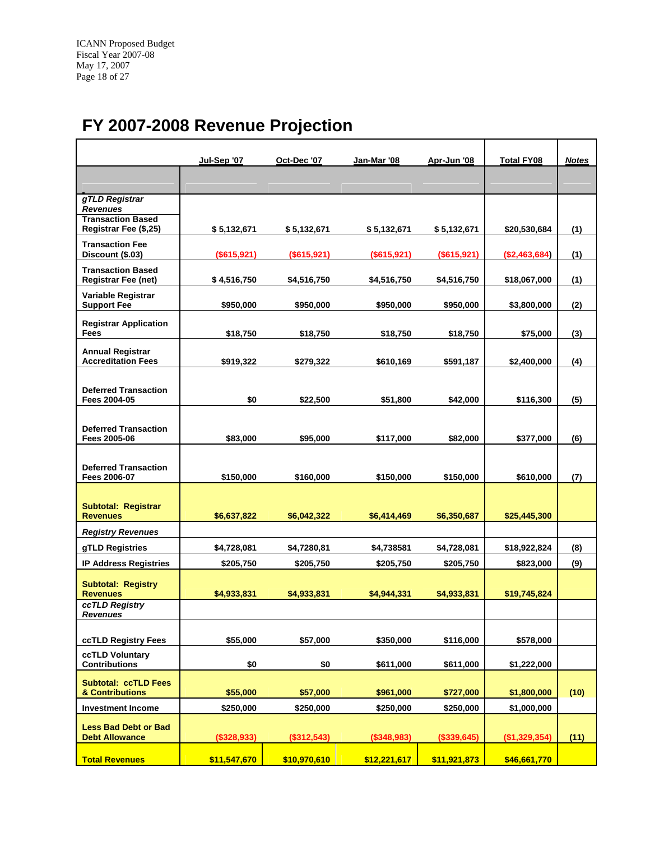# <span id="page-17-0"></span>**FY 2007-2008 Revenue Projection**

<span id="page-17-1"></span>

|                                                        | Jul-Sep '07  | Oct-Dec '07  | Jan-Mar '08  | Apr-Jun '08  | <b>Total FY08</b> | <b>Notes</b> |
|--------------------------------------------------------|--------------|--------------|--------------|--------------|-------------------|--------------|
|                                                        |              |              |              |              |                   |              |
| gTLD Registrar                                         |              |              |              |              |                   |              |
| <b>Revenues</b>                                        |              |              |              |              |                   |              |
| <b>Transaction Based</b><br>Registrar Fee (\$,25)      | \$ 5,132,671 | \$5,132,671  | \$5,132,671  | \$ 5,132,671 | \$20,530,684      | (1)          |
| <b>Transaction Fee</b><br>Discount (\$.03)             | (\$615,921)  | (\$615,921)  | (\$615,921)  | (\$615,921)  | (\$2,463,684)     | (1)          |
| <b>Transaction Based</b><br><b>Registrar Fee (net)</b> | \$4,516,750  | \$4,516,750  | \$4,516,750  | \$4,516,750  | \$18,067,000      | (1)          |
| Variable Registrar<br><b>Support Fee</b>               | \$950,000    | \$950,000    | \$950,000    | \$950,000    | \$3,800,000       | (2)          |
| <b>Registrar Application</b><br>Fees                   | \$18,750     | \$18,750     | \$18,750     | \$18,750     | \$75,000          | (3)          |
| <b>Annual Registrar</b><br><b>Accreditation Fees</b>   | \$919,322    | \$279,322    | \$610,169    | \$591,187    | \$2,400,000       | (4)          |
| <b>Deferred Transaction</b><br>Fees 2004-05            | \$0          | \$22,500     | \$51,800     | \$42,000     | \$116,300         | (5)          |
| <b>Deferred Transaction</b><br>Fees 2005-06            | \$83,000     | \$95,000     | \$117,000    | \$82,000     | \$377,000         | (6)          |
| <b>Deferred Transaction</b><br>Fees 2006-07            | \$150,000    | \$160,000    | \$150,000    | \$150,000    | \$610,000         | (7)          |
| <b>Subtotal: Registrar</b><br><b>Revenues</b>          | \$6,637,822  | \$6,042,322  | \$6,414,469  | \$6,350,687  | \$25,445,300      |              |
| <b>Registry Revenues</b>                               |              |              |              |              |                   |              |
| gTLD Registries                                        | \$4,728,081  | \$4,7280,81  | \$4,738581   | \$4,728,081  | \$18,922,824      | (8)          |
| <b>IP Address Registries</b>                           | \$205,750    | \$205,750    | \$205,750    | \$205,750    | \$823,000         | (9)          |
| <b>Subtotal: Registry</b><br><b>Revenues</b>           | \$4,933,831  | \$4,933,831  | \$4,944,331  | \$4,933,831  | \$19,745,824      |              |
| ccTLD Registry<br>Revenues                             |              |              |              |              |                   |              |
| ccTLD Registry Fees                                    | \$55,000     | \$57,000     | \$350,000    | \$116,000    | \$578,000         |              |
| <b>ccTLD Voluntary</b>                                 |              |              |              |              |                   |              |
| <b>Contributions</b>                                   | \$0          | \$0          | \$611,000    | \$611,000    | \$1,222,000       |              |
| <b>Subtotal: ccTLD Fees</b><br>& Contributions         | \$55,000     | \$57,000     | \$961,000    | \$727,000    | \$1,800,000       | (10)         |
| <b>Investment Income</b>                               | \$250,000    | \$250,000    | \$250,000    | \$250,000    | \$1,000,000       |              |
| <b>Less Bad Debt or Bad</b><br><b>Debt Allowance</b>   | (\$328,933)  | (\$312,543)  | (\$348,983)  | (\$339,645)  | (\$1,329,354)     | (11)         |
| <b>Total Revenues</b>                                  | \$11,547,670 | \$10,970,610 | \$12,221,617 | \$11,921,873 | \$46,661,770      |              |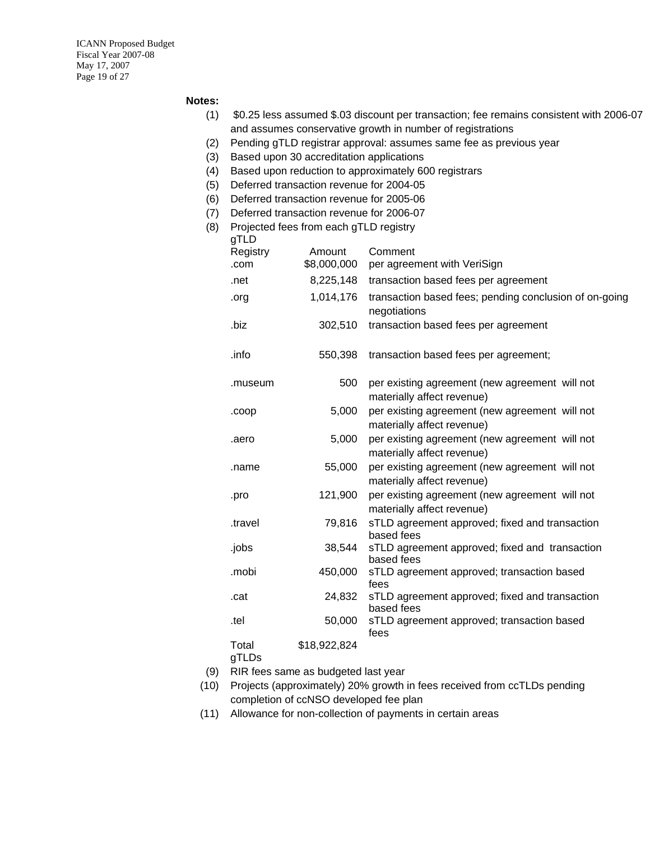ICANN Proposed Budget Fiscal Year 2007-08 May 17, 2007 Page 19 of 27

#### **Notes:**

- (1) \$0.25 less assumed \$.03 discount per transaction; fee remains consistent with 2006-07 and assumes conservative growth in number of registrations
- (2) Pending gTLD registrar approval: assumes same fee as previous year
- (3) Based upon 30 accreditation applications
- (4) Based upon reduction to approximately 600 registrars
- (5) Deferred transaction revenue for 2004-05
- (6) Deferred transaction revenue for 2005-06
- (7) Deferred transaction revenue for 2006-07
- (8) Projected fees from each gTLD registry

| gTLD           |              |                                                                              |
|----------------|--------------|------------------------------------------------------------------------------|
| Registry       | Amount       | Comment                                                                      |
| .com           | \$8,000,000  | per agreement with VeriSign                                                  |
| .net           | 8,225,148    | transaction based fees per agreement                                         |
| .org           | 1,014,176    | transaction based fees; pending conclusion of on-going<br>negotiations       |
| .biz           | 302,510      | transaction based fees per agreement                                         |
| .info          | 550,398      | transaction based fees per agreement;                                        |
| .museum        | 500          | per existing agreement (new agreement will not<br>materially affect revenue) |
| .coop          | 5,000        | per existing agreement (new agreement will not<br>materially affect revenue) |
| .aero          | 5,000        | per existing agreement (new agreement will not<br>materially affect revenue) |
| .name          | 55,000       | per existing agreement (new agreement will not<br>materially affect revenue) |
| .pro           | 121,900      | per existing agreement (new agreement will not<br>materially affect revenue) |
| .travel        | 79,816       | sTLD agreement approved; fixed and transaction<br>based fees                 |
| .jobs          | 38,544       | sTLD agreement approved; fixed and transaction<br>based fees                 |
| .mobi          | 450,000      | sTLD agreement approved; transaction based<br>fees                           |
| .cat           | 24,832       | sTLD agreement approved; fixed and transaction<br>based fees                 |
| .tel           | 50,000       | sTLD agreement approved; transaction based<br>fees                           |
| Total<br>gTLDs | \$18,922,824 |                                                                              |

- (9) RIR fees same as budgeted last year
- (10) Projects (approximately) 20% growth in fees received from ccTLDs pending completion of ccNSO developed fee plan
- (11) Allowance for non-collection of payments in certain areas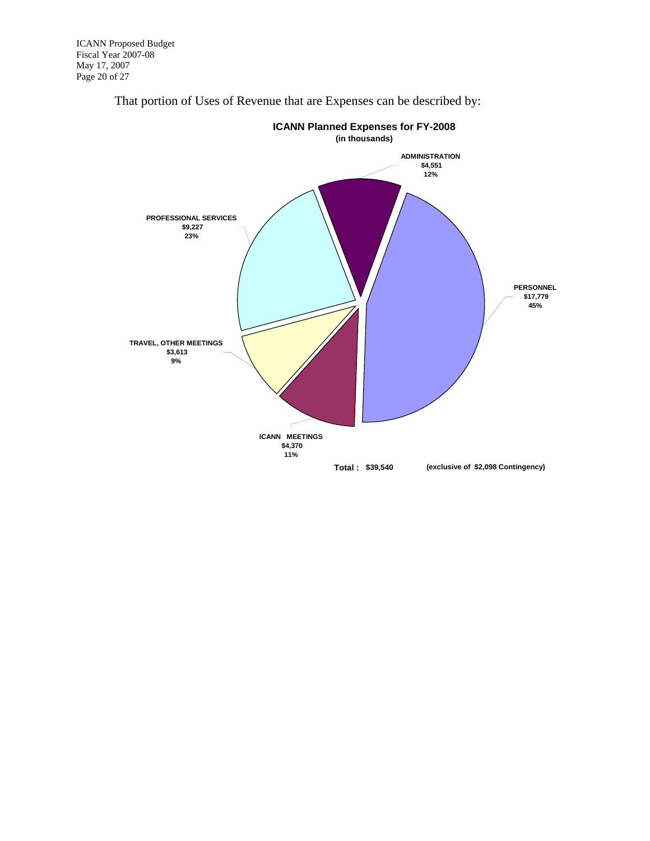

That portion of Uses of Revenue that are Expenses can be described by: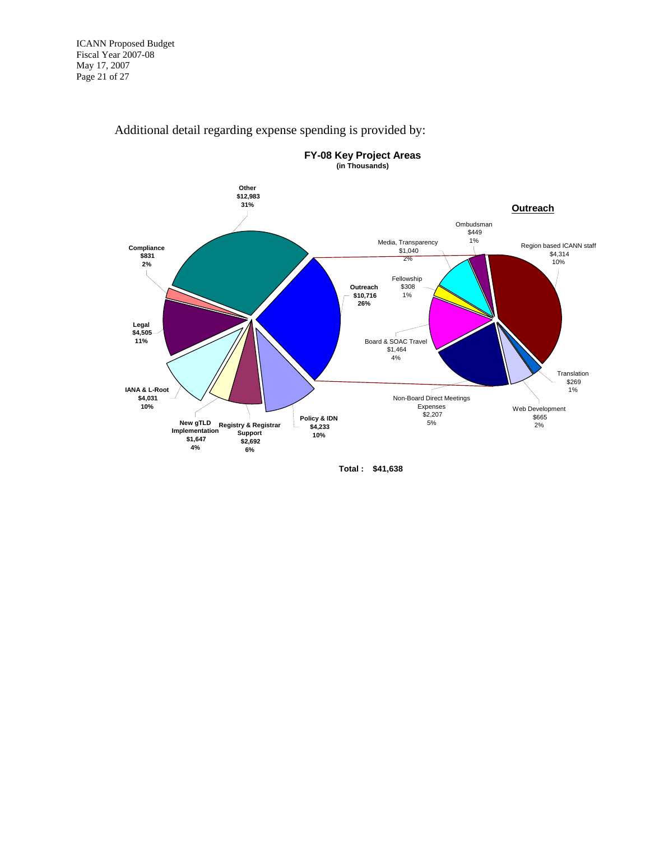

#### Additional detail regarding expense spending is provided by:

**Total : \$41,638**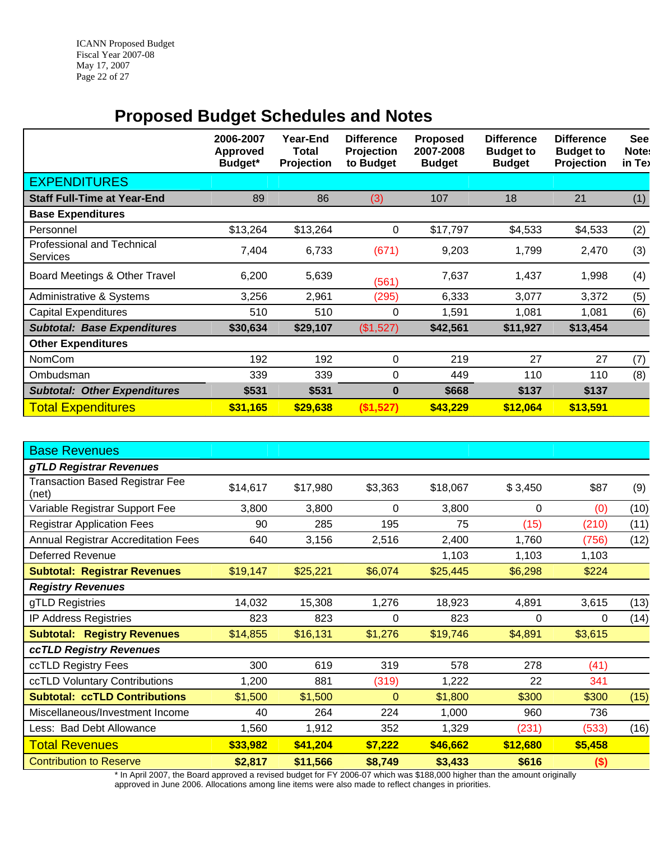<span id="page-21-0"></span>ICANN Proposed Budget Fiscal Year 2007-08 May 17, 2007 Page 22 of 27

## **Proposed Budget Schedules and Notes**

<span id="page-21-1"></span>

|                                               | 2006-2007<br>Approved<br>Budget* | Year-End<br><b>Total</b><br>Projection | <b>Difference</b><br>Projection<br>to Budget | <b>Proposed</b><br>2007-2008<br><b>Budget</b> | <b>Difference</b><br><b>Budget to</b><br><b>Budget</b> | <b>Difference</b><br><b>Budget to</b><br>Projection | <b>See</b><br>Note:<br>in Tex |
|-----------------------------------------------|----------------------------------|----------------------------------------|----------------------------------------------|-----------------------------------------------|--------------------------------------------------------|-----------------------------------------------------|-------------------------------|
| <b>EXPENDITURES</b>                           |                                  |                                        |                                              |                                               |                                                        |                                                     |                               |
| <b>Staff Full-Time at Year-End</b>            | 89                               | 86                                     | (3)                                          | 107                                           | 18                                                     | 21                                                  | (1)                           |
| <b>Base Expenditures</b>                      |                                  |                                        |                                              |                                               |                                                        |                                                     |                               |
| Personnel                                     | \$13,264                         | \$13,264                               | 0                                            | \$17,797                                      | \$4,533                                                | \$4,533                                             | (2)                           |
| <b>Professional and Technical</b><br>Services | 7,404                            | 6,733                                  | (671)                                        | 9,203                                         | 1,799                                                  | 2,470                                               | (3)                           |
| Board Meetings & Other Travel                 | 6,200                            | 5,639                                  | (561)                                        | 7,637                                         | 1,437                                                  | 1,998                                               | (4)                           |
| Administrative & Systems                      | 3,256                            | 2,961                                  | (295)                                        | 6,333                                         | 3,077                                                  | 3,372                                               | (5)                           |
| <b>Capital Expenditures</b>                   | 510                              | 510                                    | 0                                            | 1,591                                         | 1,081                                                  | 1,081                                               | (6)                           |
| <b>Subtotal: Base Expenditures</b>            | \$30,634                         | \$29,107                               | (\$1,527)                                    | \$42,561                                      | \$11,927                                               | \$13,454                                            |                               |
| <b>Other Expenditures</b>                     |                                  |                                        |                                              |                                               |                                                        |                                                     |                               |
| <b>NomCom</b>                                 | 192                              | 192                                    | 0                                            | 219                                           | 27                                                     | 27                                                  | (7)                           |
| Ombudsman                                     | 339                              | 339                                    | 0                                            | 449                                           | 110                                                    | 110                                                 | (8)                           |
| <b>Subtotal: Other Expenditures</b>           | \$531                            | \$531                                  | $\bf{0}$                                     | \$668                                         | \$137                                                  | \$137                                               |                               |
| <b>Total Expenditures</b>                     | \$31,165                         | \$29,638                               | (\$1,527)                                    | \$43,229                                      | \$12,064                                               | \$13,591                                            |                               |

| <b>Base Revenues</b>                            |          |          |             |          |          |         |      |
|-------------------------------------------------|----------|----------|-------------|----------|----------|---------|------|
| gTLD Registrar Revenues                         |          |          |             |          |          |         |      |
| <b>Transaction Based Registrar Fee</b><br>(net) | \$14,617 | \$17,980 | \$3,363     | \$18,067 | \$3,450  | \$87    | (9)  |
| Variable Registrar Support Fee                  | 3,800    | 3,800    | 0           | 3,800    | 0        | (0)     | (10) |
| <b>Registrar Application Fees</b>               | 90       | 285      | 195         | 75       | (15)     | (210)   | (11) |
| <b>Annual Registrar Accreditation Fees</b>      | 640      | 3,156    | 2,516       | 2,400    | 1,760    | (756)   | (12) |
| <b>Deferred Revenue</b>                         |          |          |             | 1,103    | 1,103    | 1,103   |      |
| <b>Subtotal: Registrar Revenues</b>             | \$19,147 | \$25,221 | \$6,074     | \$25,445 | \$6,298  | \$224   |      |
| <b>Registry Revenues</b>                        |          |          |             |          |          |         |      |
| gTLD Registries                                 | 14,032   | 15,308   | 1,276       | 18,923   | 4,891    | 3,615   | (13) |
| <b>IP Address Registries</b>                    | 823      | 823      | $\Omega$    | 823      | 0        | 0       | (14) |
| <b>Subtotal: Registry Revenues</b>              | \$14,855 | \$16,131 | \$1,276     | \$19,746 | \$4,891  | \$3,615 |      |
| ccTLD Registry Revenues                         |          |          |             |          |          |         |      |
| ccTLD Registry Fees                             | 300      | 619      | 319         | 578      | 278      | (41)    |      |
| ccTLD Voluntary Contributions                   | 1,200    | 881      | (319)       | 1,222    | 22       | 341     |      |
| <b>Subtotal: ccTLD Contributions</b>            | \$1,500  | \$1,500  | $\mathbf 0$ | \$1,800  | \$300    | \$300   | (15) |
| Miscellaneous/Investment Income                 | 40       | 264      | 224         | 1,000    | 960      | 736     |      |
| Less: Bad Debt Allowance                        | 1,560    | 1,912    | 352         | 1,329    | (231)    | (533)   | (16) |
| <b>Total Revenues</b>                           | \$33,982 | \$41,204 | \$7,222     | \$46,662 | \$12,680 | \$5,458 |      |
| <b>Contribution to Reserve</b>                  | \$2,817  | \$11,566 | \$8,749     | \$3,433  | \$616    | $($)$   |      |

\* In April 2007, the Board approved a revised budget for FY 2006-07 which was \$188,000 higher than the amount originally approved in June 2006. Allocations among line items were also made to reflect changes in priorities.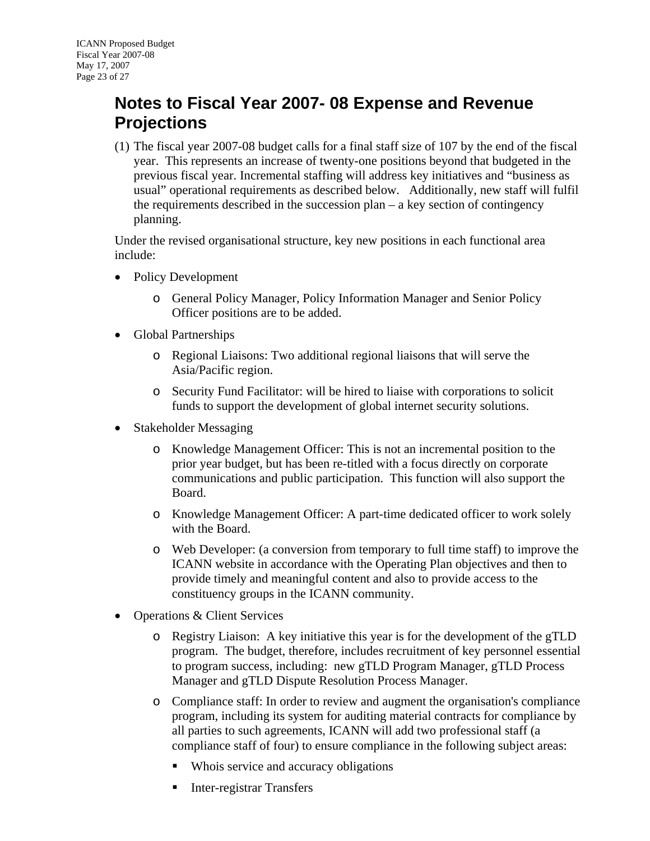## <span id="page-22-1"></span><span id="page-22-0"></span>**Notes to Fiscal Year 2007- 08 Expense and Revenue Projections**

(1) The fiscal year 2007-08 budget calls for a final staff size of 107 by the end of the fiscal year. This represents an increase of twenty-one positions beyond that budgeted in the previous fiscal year. Incremental staffing will address key initiatives and "business as usual" operational requirements as described below. Additionally, new staff will fulfil the requirements described in the succession plan – a key section of contingency planning.

Under the revised organisational structure, key new positions in each functional area include:

- Policy Development
	- o General Policy Manager, Policy Information Manager and Senior Policy Officer positions are to be added.
- Global Partnerships
	- o Regional Liaisons: Two additional regional liaisons that will serve the Asia/Pacific region.
	- o Security Fund Facilitator: will be hired to liaise with corporations to solicit funds to support the development of global internet security solutions.
- Stakeholder Messaging
	- o Knowledge Management Officer: This is not an incremental position to the prior year budget, but has been re-titled with a focus directly on corporate communications and public participation. This function will also support the Board.
	- o Knowledge Management Officer: A part-time dedicated officer to work solely with the Board.
	- o Web Developer: (a conversion from temporary to full time staff) to improve the ICANN website in accordance with the Operating Plan objectives and then to provide timely and meaningful content and also to provide access to the constituency groups in the ICANN community.
- Operations & Client Services
	- o Registry Liaison: A key initiative this year is for the development of the gTLD program. The budget, therefore, includes recruitment of key personnel essential to program success, including: new gTLD Program Manager, gTLD Process Manager and gTLD Dispute Resolution Process Manager.
	- o Compliance staff: In order to review and augment the organisation's compliance program, including its system for auditing material contracts for compliance by all parties to such agreements, ICANN will add two professional staff (a compliance staff of four) to ensure compliance in the following subject areas:
		- Whois service and accuracy obligations
		- Inter-registrar Transfers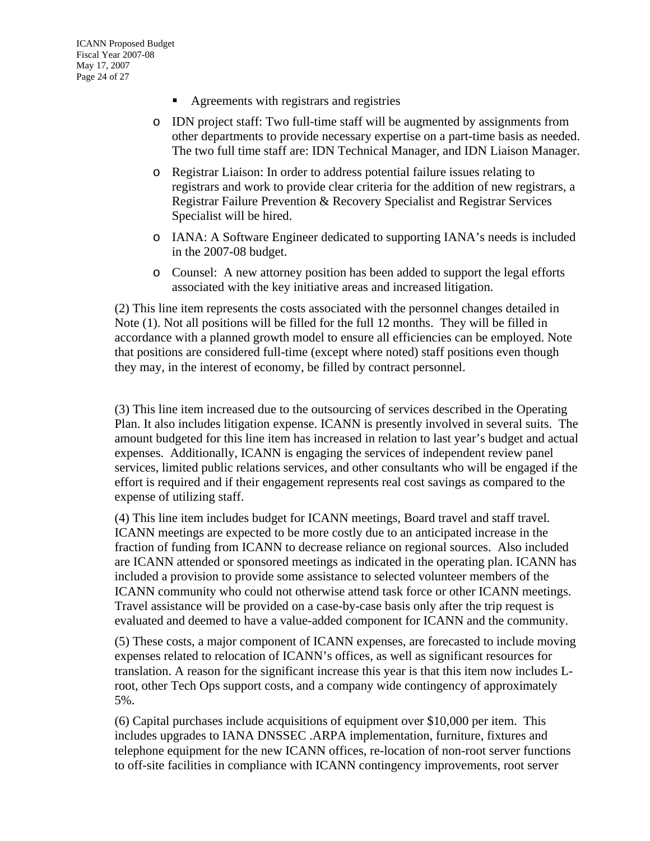- Agreements with registrars and registries
- o IDN project staff: Two full-time staff will be augmented by assignments from other departments to provide necessary expertise on a part-time basis as needed. The two full time staff are: IDN Technical Manager, and IDN Liaison Manager.
- o Registrar Liaison: In order to address potential failure issues relating to registrars and work to provide clear criteria for the addition of new registrars, a Registrar Failure Prevention & Recovery Specialist and Registrar Services Specialist will be hired.
- o IANA: A Software Engineer dedicated to supporting IANA's needs is included in the 2007-08 budget.
- o Counsel: A new attorney position has been added to support the legal efforts associated with the key initiative areas and increased litigation.

(2) This line item represents the costs associated with the personnel changes detailed in Note (1). Not all positions will be filled for the full 12 months. They will be filled in accordance with a planned growth model to ensure all efficiencies can be employed. Note that positions are considered full-time (except where noted) staff positions even though they may, in the interest of economy, be filled by contract personnel.

(3) This line item increased due to the outsourcing of services described in the Operating Plan. It also includes litigation expense. ICANN is presently involved in several suits. The amount budgeted for this line item has increased in relation to last year's budget and actual expenses. Additionally, ICANN is engaging the services of independent review panel services, limited public relations services, and other consultants who will be engaged if the effort is required and if their engagement represents real cost savings as compared to the expense of utilizing staff.

(4) This line item includes budget for ICANN meetings, Board travel and staff travel. ICANN meetings are expected to be more costly due to an anticipated increase in the fraction of funding from ICANN to decrease reliance on regional sources. Also included are ICANN attended or sponsored meetings as indicated in the operating plan. ICANN has included a provision to provide some assistance to selected volunteer members of the ICANN community who could not otherwise attend task force or other ICANN meetings. Travel assistance will be provided on a case-by-case basis only after the trip request is evaluated and deemed to have a value-added component for ICANN and the community.

(5) These costs, a major component of ICANN expenses, are forecasted to include moving expenses related to relocation of ICANN's offices, as well as significant resources for translation. A reason for the significant increase this year is that this item now includes Lroot, other Tech Ops support costs, and a company wide contingency of approximately 5%.

(6) Capital purchases include acquisitions of equipment over \$10,000 per item. This includes upgrades to IANA DNSSEC .ARPA implementation, furniture, fixtures and telephone equipment for the new ICANN offices, re-location of non-root server functions to off-site facilities in compliance with ICANN contingency improvements, root server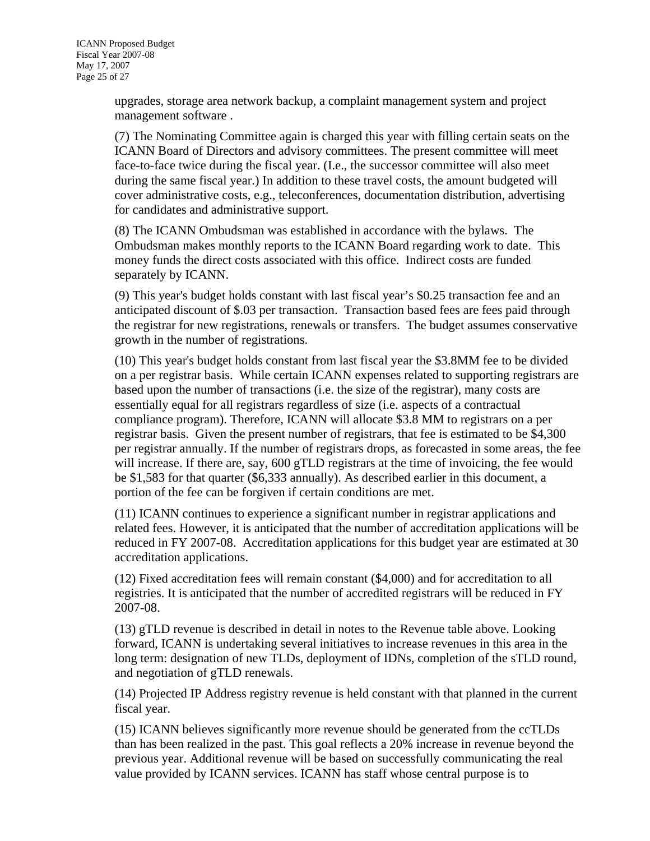upgrades, storage area network backup, a complaint management system and project management software .

(7) The Nominating Committee again is charged this year with filling certain seats on the ICANN Board of Directors and advisory committees. The present committee will meet face-to-face twice during the fiscal year. (I.e., the successor committee will also meet during the same fiscal year.) In addition to these travel costs, the amount budgeted will cover administrative costs, e.g., teleconferences, documentation distribution, advertising for candidates and administrative support.

(8) The ICANN Ombudsman was established in accordance with the bylaws. The Ombudsman makes monthly reports to the ICANN Board regarding work to date. This money funds the direct costs associated with this office. Indirect costs are funded separately by ICANN.

(9) This year's budget holds constant with last fiscal year's \$0.25 transaction fee and an anticipated discount of \$.03 per transaction. Transaction based fees are fees paid through the registrar for new registrations, renewals or transfers. The budget assumes conservative growth in the number of registrations.

(10) This year's budget holds constant from last fiscal year the \$3.8MM fee to be divided on a per registrar basis. While certain ICANN expenses related to supporting registrars are based upon the number of transactions (i.e. the size of the registrar), many costs are essentially equal for all registrars regardless of size (i.e. aspects of a contractual compliance program). Therefore, ICANN will allocate \$3.8 MM to registrars on a per registrar basis. Given the present number of registrars, that fee is estimated to be \$4,300 per registrar annually. If the number of registrars drops, as forecasted in some areas, the fee will increase. If there are, say, 600 gTLD registrars at the time of invoicing, the fee would be \$1,583 for that quarter (\$6,333 annually). As described earlier in this document, a portion of the fee can be forgiven if certain conditions are met.

(11) ICANN continues to experience a significant number in registrar applications and related fees. However, it is anticipated that the number of accreditation applications will be reduced in FY 2007-08. Accreditation applications for this budget year are estimated at 30 accreditation applications.

(12) Fixed accreditation fees will remain constant (\$4,000) and for accreditation to all registries. It is anticipated that the number of accredited registrars will be reduced in FY 2007-08.

(13) gTLD revenue is described in detail in notes to the Revenue table above. Looking forward, ICANN is undertaking several initiatives to increase revenues in this area in the long term: designation of new TLDs, deployment of IDNs, completion of the sTLD round, and negotiation of gTLD renewals.

(14) Projected IP Address registry revenue is held constant with that planned in the current fiscal year.

(15) ICANN believes significantly more revenue should be generated from the ccTLDs than has been realized in the past. This goal reflects a 20% increase in revenue beyond the previous year. Additional revenue will be based on successfully communicating the real value provided by ICANN services. ICANN has staff whose central purpose is to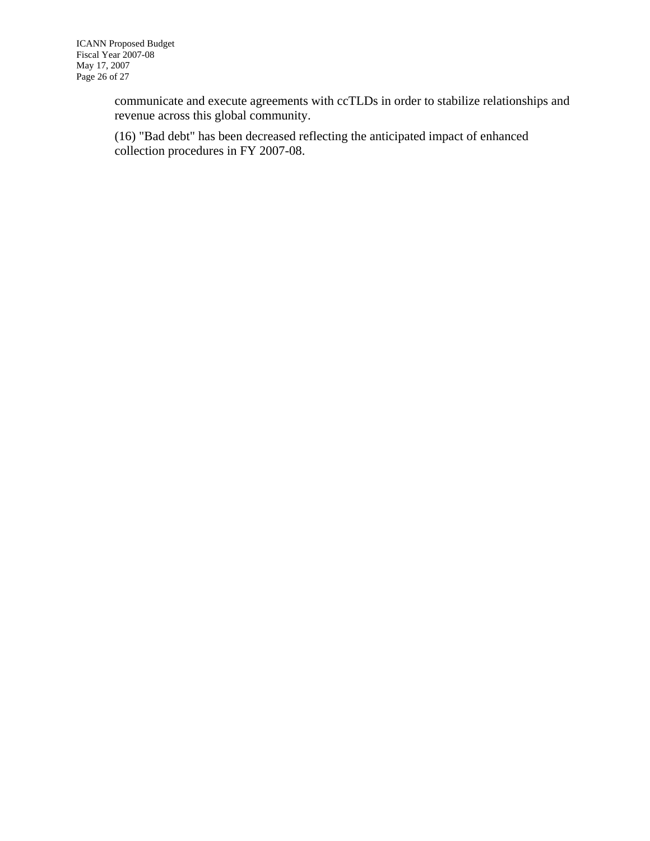communicate and execute agreements with ccTLDs in order to stabilize relationships and revenue across this global community.

(16) "Bad debt" has been decreased reflecting the anticipated impact of enhanced collection procedures in FY 2007-08.